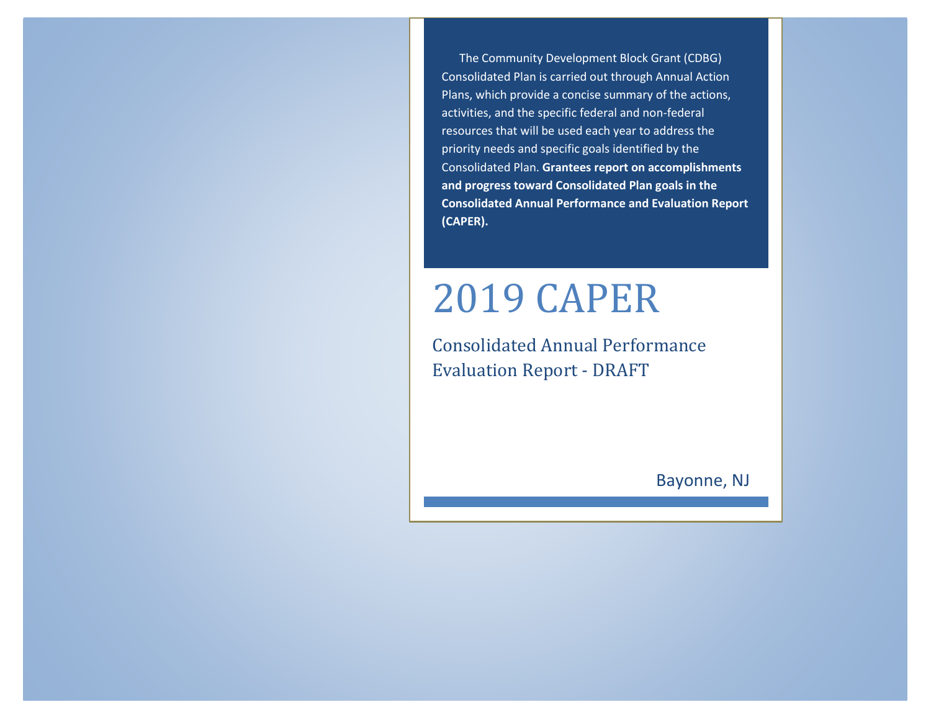The Community Development Block Grant (CDBG) Consolidated Plan is carried out through Annual Action Plans, which provide a concise summary of the actions, activities, and the specific federal and non-federal resources that will be used each year to address the priority needs and specific goals identified by the Consolidated Plan. **Grantees report on accomplishments and progress toward Consolidated Plan goals in the Consolidated Annual Performance and Evaluation Report (CAPER).**

# 2019 CAPER

Consolidated Annual Performance Evaluation Report - DRAFT

Bayonne, NJ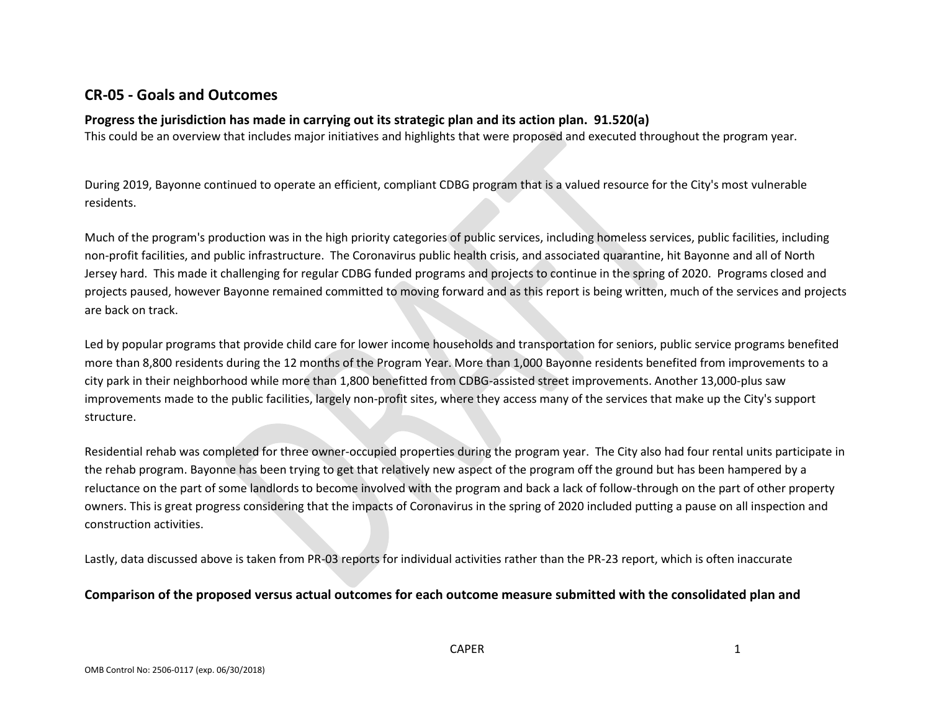# **CR-05 - Goals and Outcomes**

#### **Progress the jurisdiction has made in carrying out its strategic plan and its action plan. 91.520(a)**

This could be an overview that includes major initiatives and highlights that were proposed and executed throughout the program year.

During 2019, Bayonne continued to operate an efficient, compliant CDBG program that is a valued resource for the City's most vulnerable residents.

Much of the program's production was in the high priority categories of public services, including homeless services, public facilities, including non-profit facilities, and public infrastructure. The Coronavirus public health crisis, and associated quarantine, hit Bayonne and all of North Jersey hard. This made it challenging for regular CDBG funded programs and projects to continue in the spring of 2020. Programs closed and projects paused, however Bayonne remained committed to moving forward and as this report is being written, much of the services and projects are back on track.

Led by popular programs that provide child care for lower income households and transportation for seniors, public service programs benefited more than 8,800 residents during the 12 months of the Program Year. More than 1,000 Bayonne residents benefited from improvements to a city park in their neighborhood while more than 1,800 benefitted from CDBG-assisted street improvements. Another 13,000-plus saw improvements made to the public facilities, largely non-profit sites, where they access many of the services that make up the City's support structure.

Residential rehab was completed for three owner-occupied properties during the program year. The City also had four rental units participate in the rehab program. Bayonne has been trying to get that relatively new aspect of the program off the ground but has been hampered by a reluctance on the part of some landlords to become involved with the program and back a lack of follow-through on the part of other property owners. This is great progress considering that the impacts of Coronavirus in the spring of 2020 included putting a pause on all inspection and construction activities.

Lastly, data discussed above is taken from PR-03 reports for individual activities rather than the PR-23 report, which is often inaccurate

#### **Comparison of the proposed versus actual outcomes for each outcome measure submitted with the consolidated plan and**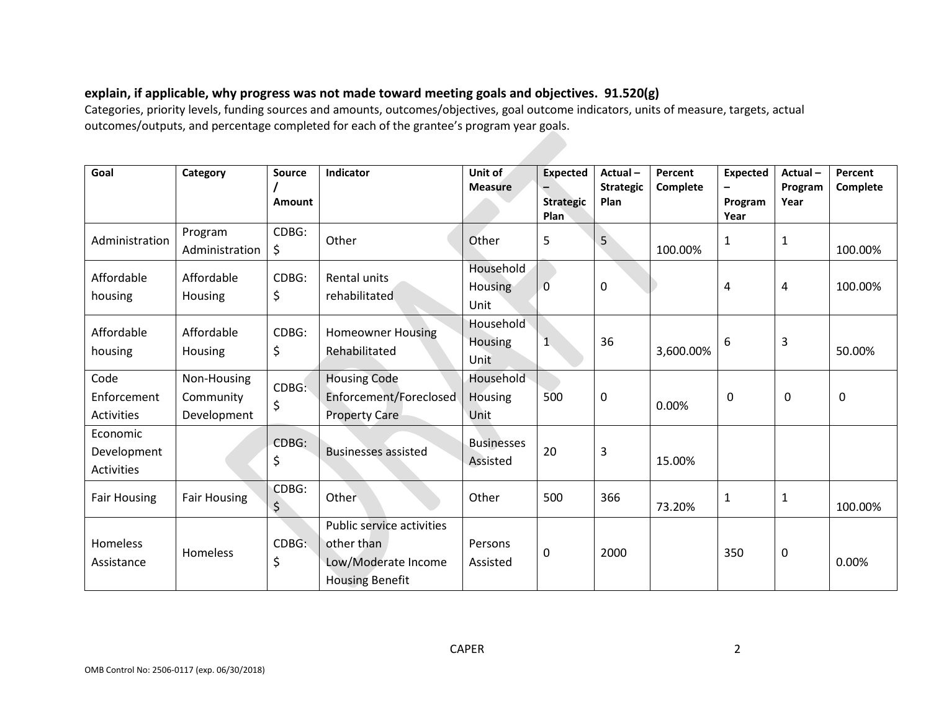## **explain, if applicable, why progress was not made toward meeting goals and objectives. 91.520(g)**

Categories, priority levels, funding sources and amounts, outcomes/objectives, goal outcome indicators, units of measure, targets, actual outcomes/outputs, and percentage completed for each of the grantee's program year goals.

| Goal                                         | Category                                | <b>Source</b><br><b>Amount</b> | Indicator                                                                                | Unit of<br><b>Measure</b>           | <b>Expected</b><br>$\overline{\phantom{0}}$<br><b>Strategic</b><br>Plan | Actual-<br><b>Strategic</b><br>Plan | Percent<br>Complete | <b>Expected</b><br>-<br>Program<br>Year | Actual-<br>Program<br>Year | Percent<br>Complete |
|----------------------------------------------|-----------------------------------------|--------------------------------|------------------------------------------------------------------------------------------|-------------------------------------|-------------------------------------------------------------------------|-------------------------------------|---------------------|-----------------------------------------|----------------------------|---------------------|
| Administration                               | Program<br>Administration               | CDBG:<br>\$                    | Other                                                                                    | Other                               | 5                                                                       | 5                                   | 100.00%             | 1                                       | 1                          | 100.00%             |
| Affordable<br>housing                        | Affordable<br><b>Housing</b>            | CDBG:<br>\$                    | <b>Rental units</b><br>rehabilitated                                                     | Household<br><b>Housing</b><br>Unit | $\mathbf 0$                                                             | $\mathbf 0$                         |                     | 4                                       | 4                          | 100.00%             |
| Affordable<br>housing                        | Affordable<br>Housing                   | CDBG:<br>\$                    | <b>Homeowner Housing</b><br>Rehabilitated                                                | Household<br>Housing<br>Unit        | $\mathbf{1}$                                                            | 36                                  | 3,600.00%           | 6                                       | 3                          | 50.00%              |
| Code<br>Enforcement<br>Activities            | Non-Housing<br>Community<br>Development | CDBG:<br>\$                    | <b>Housing Code</b><br>Enforcement/Foreclosed<br><b>Property Care</b>                    | Household<br>Housing<br>Unit        | 500                                                                     | $\mathbf 0$                         | 0.00%               | $\mathbf 0$                             | 0                          | 0                   |
| Economic<br>Development<br><b>Activities</b> |                                         | CDBG:<br>\$                    | <b>Businesses assisted</b>                                                               | <b>Businesses</b><br>Assisted       | 20                                                                      | 3                                   | 15.00%              |                                         |                            |                     |
| <b>Fair Housing</b>                          | <b>Fair Housing</b>                     | CDBG:<br>\$                    | Other                                                                                    | Other                               | 500                                                                     | 366                                 | 73.20%              | 1                                       | 1                          | 100.00%             |
| Homeless<br>Assistance                       | Homeless                                | CDBG:<br>\$                    | Public service activities<br>other than<br>Low/Moderate Income<br><b>Housing Benefit</b> | Persons<br>Assisted                 | 0                                                                       | 2000                                |                     | 350                                     | 0                          | 0.00%               |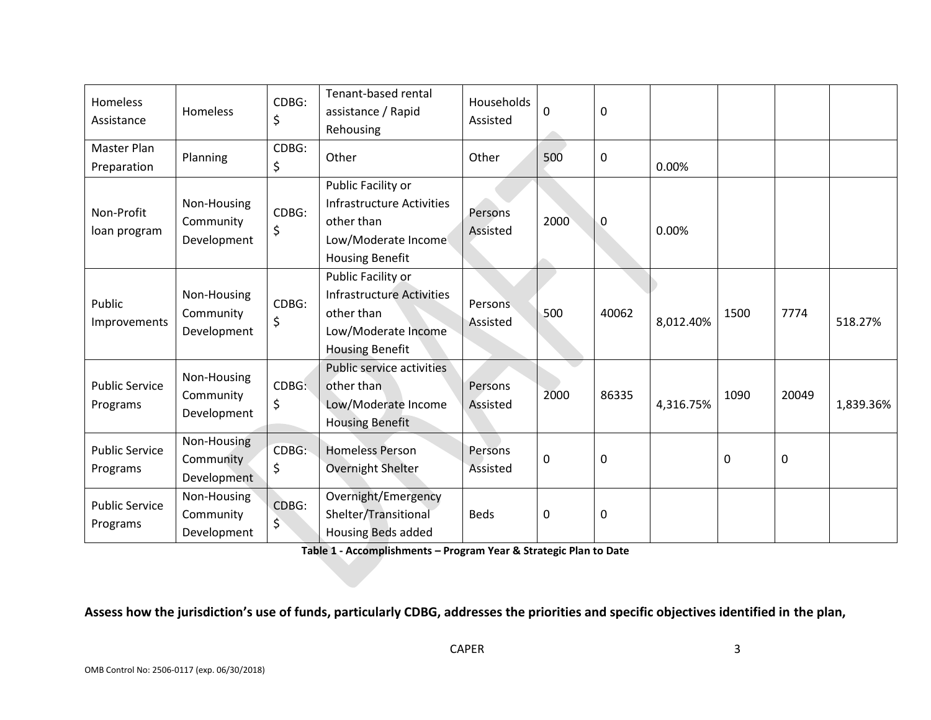| Homeless<br>Assistance            | <b>Homeless</b>                         | CDBG:<br>\$ | Tenant-based rental<br>assistance / Rapid<br>Rehousing                                                                | Households<br>Assisted     | 0           | 0           |           |      |       |           |
|-----------------------------------|-----------------------------------------|-------------|-----------------------------------------------------------------------------------------------------------------------|----------------------------|-------------|-------------|-----------|------|-------|-----------|
| Master Plan<br>Preparation        | Planning                                | CDBG:<br>\$ | Other                                                                                                                 | Other                      | 500         | $\mathbf 0$ | 0.00%     |      |       |           |
| Non-Profit<br>loan program        | Non-Housing<br>Community<br>Development | CDBG:<br>\$ | Public Facility or<br><b>Infrastructure Activities</b><br>other than<br>Low/Moderate Income<br><b>Housing Benefit</b> | Persons<br>Assisted        | 2000        | 0           | 0.00%     |      |       |           |
| Public<br>Improvements            | Non-Housing<br>Community<br>Development | CDBG:<br>\$ | Public Facility or<br><b>Infrastructure Activities</b><br>other than<br>Low/Moderate Income<br><b>Housing Benefit</b> | <b>Persons</b><br>Assisted | 500         | 40062       | 8,012.40% | 1500 | 7774  | 518.27%   |
| <b>Public Service</b><br>Programs | Non-Housing<br>Community<br>Development | CDBG:<br>\$ | Public service activities<br>other than<br>Low/Moderate Income<br><b>Housing Benefit</b>                              | Persons<br>Assisted        | 2000        | 86335       | 4,316.75% | 1090 | 20049 | 1,839.36% |
| <b>Public Service</b><br>Programs | Non-Housing<br>Community<br>Development | CDBG:<br>\$ | <b>Homeless Person</b><br>Overnight Shelter                                                                           | Persons<br>Assisted        | $\mathbf 0$ | $\mathbf 0$ |           | 0    | 0     |           |
| <b>Public Service</b><br>Programs | Non-Housing<br>Community<br>Development | CDBG:<br>\$ | Overnight/Emergency<br>Shelter/Transitional<br><b>Housing Beds added</b>                                              | <b>Beds</b>                | $\mathbf 0$ | $\mathbf 0$ |           |      |       |           |

**Table 1 - Accomplishments – Program Year & Strategic Plan to Date**

**Assess how the jurisdiction's use of funds, particularly CDBG, addresses the priorities and specific objectives identified in the plan,**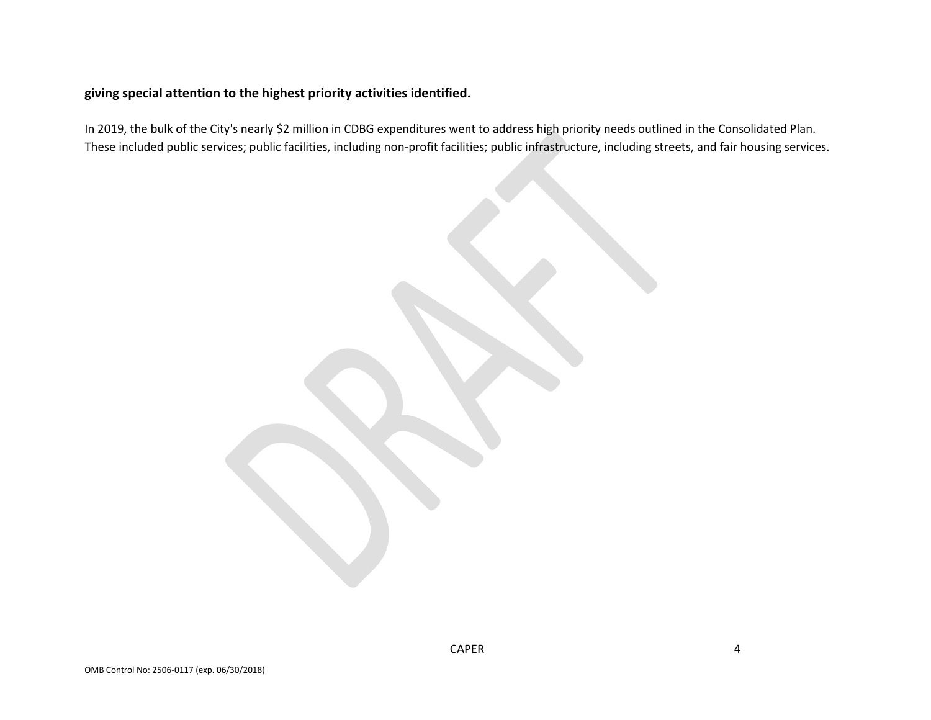#### **giving special attention to the highest priority activities identified.**

In 2019, the bulk of the City's nearly \$2 million in CDBG expenditures went to address high priority needs outlined in the Consolidated Plan. These included public services; public facilities, including non-profit facilities; public infrastructure, including streets, and fair housing services.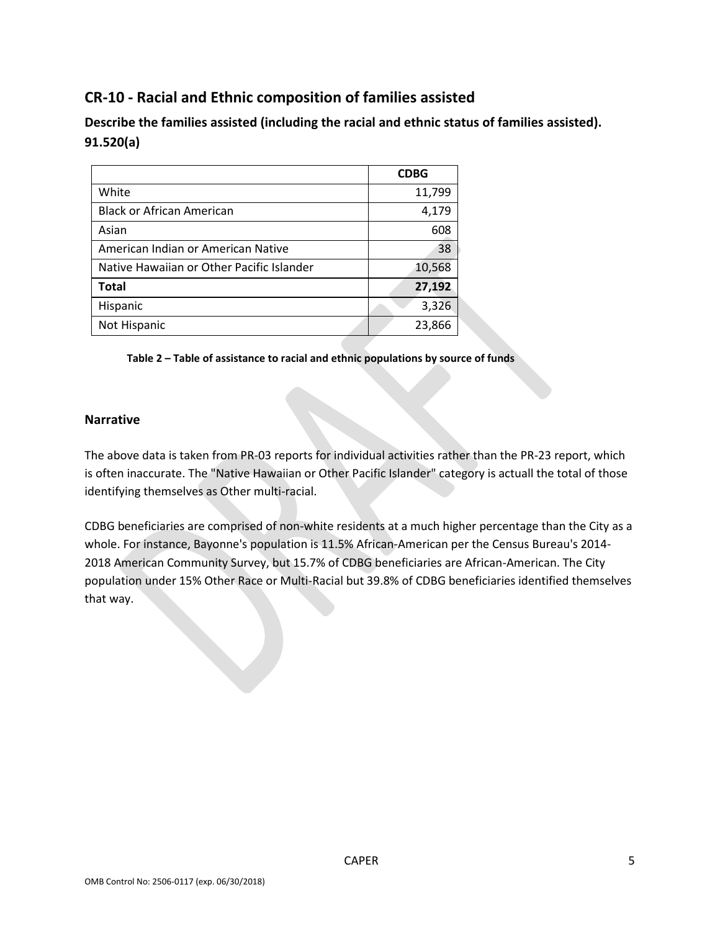# **CR-10 - Racial and Ethnic composition of families assisted**

**Describe the families assisted (including the racial and ethnic status of families assisted). 91.520(a)** 

|                                           | <b>CDBG</b> |
|-------------------------------------------|-------------|
| White                                     | 11,799      |
| <b>Black or African American</b>          | 4,179       |
| Asian                                     | 608         |
| American Indian or American Native        | 38          |
| Native Hawaiian or Other Pacific Islander | 10,568      |
| <b>Total</b>                              | 27,192      |
| Hispanic                                  | 3,326       |
| Not Hispanic                              | 23,866      |

**Table 2 – Table of assistance to racial and ethnic populations by source of funds**

#### **Narrative**

The above data is taken from PR-03 reports for individual activities rather than the PR-23 report, which is often inaccurate. The "Native Hawaiian or Other Pacific Islander" category is actuall the total of those identifying themselves as Other multi-racial.

CDBG beneficiaries are comprised of non-white residents at a much higher percentage than the City as a whole. For instance, Bayonne's population is 11.5% African-American per the Census Bureau's 2014- 2018 American Community Survey, but 15.7% of CDBG beneficiaries are African-American. The City population under 15% Other Race or Multi-Racial but 39.8% of CDBG beneficiaries identified themselves that way.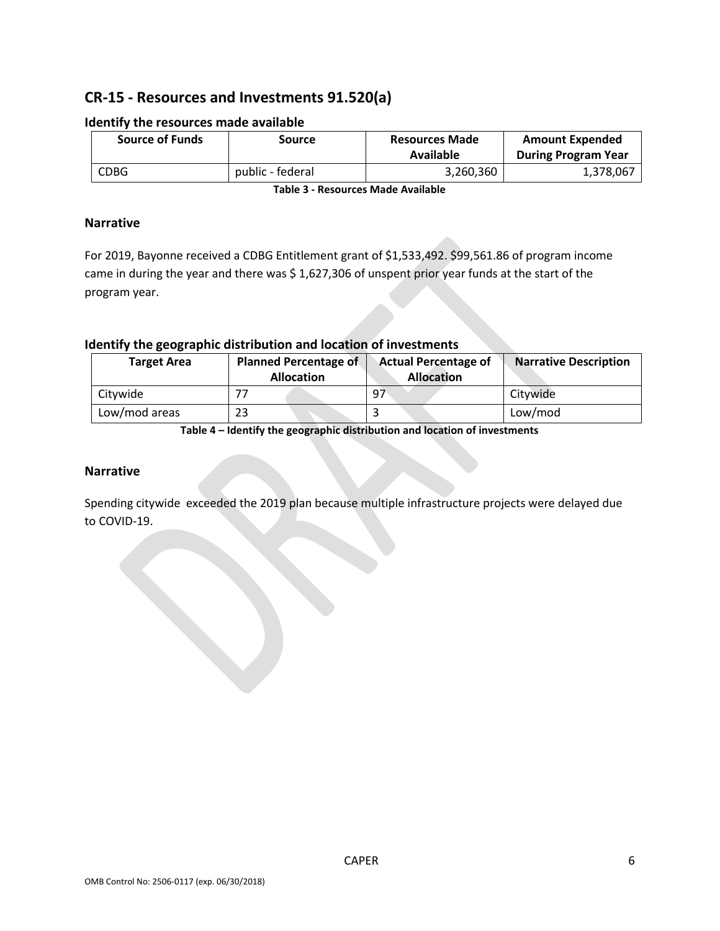# **CR-15 - Resources and Investments 91.520(a)**

| <b>Source of Funds</b> | Source           | <b>Resources Made</b><br>Available | <b>Amount Expended</b><br><b>During Program Year</b> |
|------------------------|------------------|------------------------------------|------------------------------------------------------|
| <b>CDBG</b>            | public - federal | 3,260,360                          | 1,378,067                                            |

#### **Identify the resources made available**

**Table 3 - Resources Made Available**

#### **Narrative**

For 2019, Bayonne received a CDBG Entitlement grant of \$1,533,492. \$99,561.86 of program income came in during the year and there was \$ 1,627,306 of unspent prior year funds at the start of the program year.

#### **Identify the geographic distribution and location of investments**

| <b>Target Area</b> | <b>Planned Percentage of</b><br><b>Allocation</b> | <b>Actual Percentage of</b><br><b>Allocation</b> | <b>Narrative Description</b> |  |
|--------------------|---------------------------------------------------|--------------------------------------------------|------------------------------|--|
| Citywide           |                                                   | - 97                                             | Citywide                     |  |
| Low/mod areas      | 23                                                |                                                  | Low/mod                      |  |

**Table 4 – Identify the geographic distribution and location of investments**

#### **Narrative**

Spending citywide exceeded the 2019 plan because multiple infrastructure projects were delayed due to COVID-19.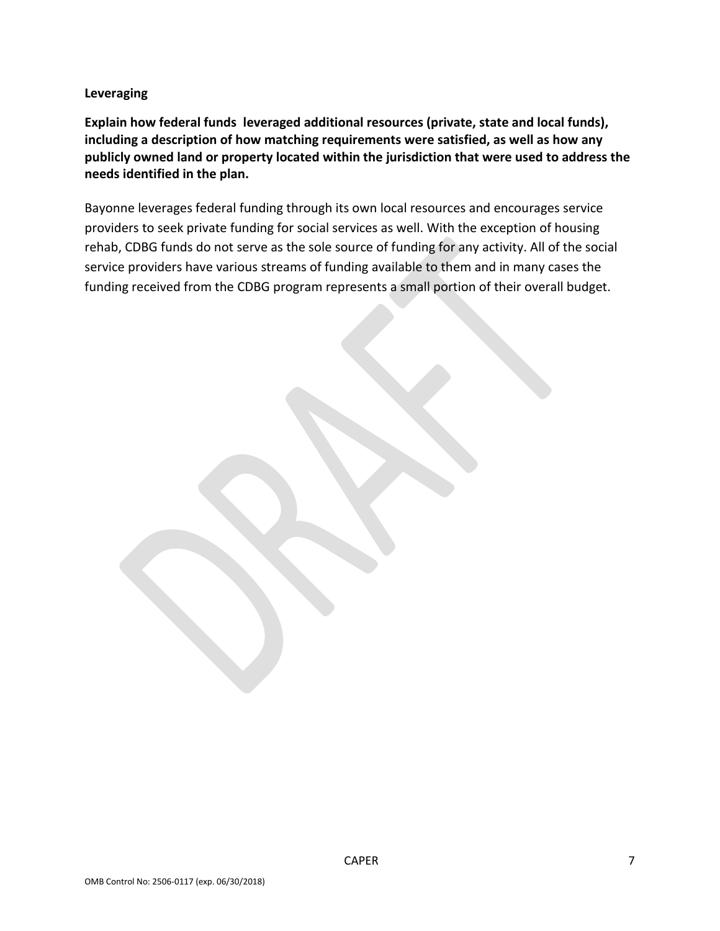**Leveraging**

**Explain how federal funds leveraged additional resources (private, state and local funds), including a description of how matching requirements were satisfied, as well as how any publicly owned land or property located within the jurisdiction that were used to address the needs identified in the plan.**

Bayonne leverages federal funding through its own local resources and encourages service providers to seek private funding for social services as well. With the exception of housing rehab, CDBG funds do not serve as the sole source of funding for any activity. All of the social service providers have various streams of funding available to them and in many cases the funding received from the CDBG program represents a small portion of their overall budget.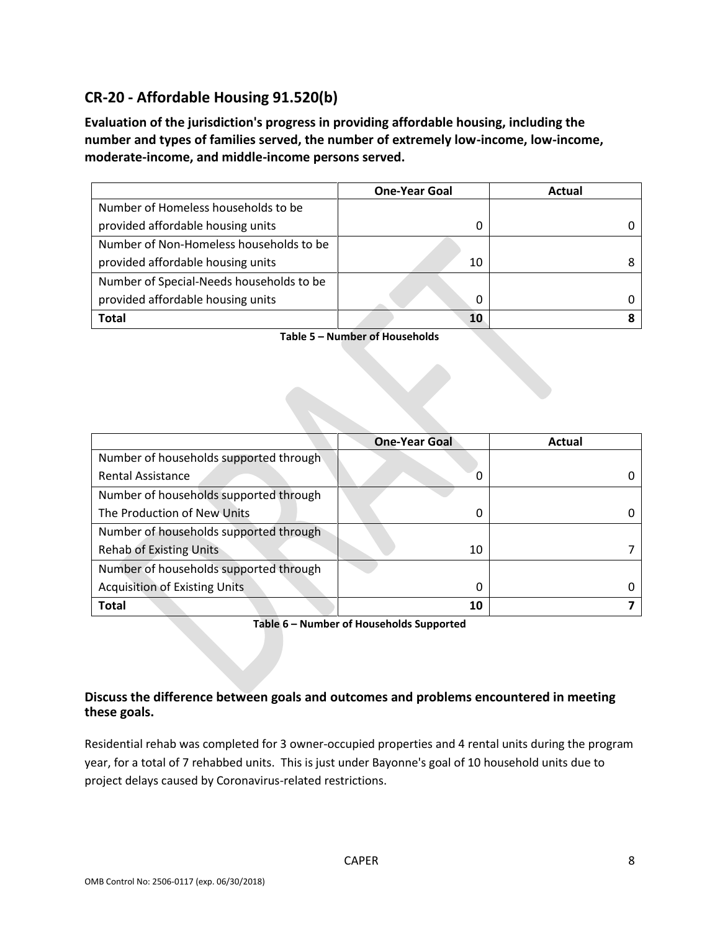# **CR-20 - Affordable Housing 91.520(b)**

**Evaluation of the jurisdiction's progress in providing affordable housing, including the number and types of families served, the number of extremely low-income, low-income, moderate-income, and middle-income persons served.**

|                                          | <b>One-Year Goal</b> | Actual |
|------------------------------------------|----------------------|--------|
| Number of Homeless households to be      |                      |        |
| provided affordable housing units        |                      |        |
| Number of Non-Homeless households to be  |                      |        |
| provided affordable housing units        | 10                   |        |
| Number of Special-Needs households to be |                      |        |
| provided affordable housing units        | 0                    |        |
| <b>Total</b>                             | 10                   |        |

**Table 5 – Number of Households**

|                                        | <b>One-Year Goal</b> | Actual |
|----------------------------------------|----------------------|--------|
| Number of households supported through |                      |        |
| <b>Rental Assistance</b>               | O                    |        |
| Number of households supported through |                      |        |
| The Production of New Units            | 0                    |        |
| Number of households supported through |                      |        |
| <b>Rehab of Existing Units</b>         | 10                   |        |
| Number of households supported through |                      |        |
| <b>Acquisition of Existing Units</b>   | 0                    |        |
| <b>Total</b>                           | 10                   |        |

**Table 6 – Number of Households Supported**

#### **Discuss the difference between goals and outcomes and problems encountered in meeting these goals.**

Residential rehab was completed for 3 owner-occupied properties and 4 rental units during the program year, for a total of 7 rehabbed units. This is just under Bayonne's goal of 10 household units due to project delays caused by Coronavirus-related restrictions.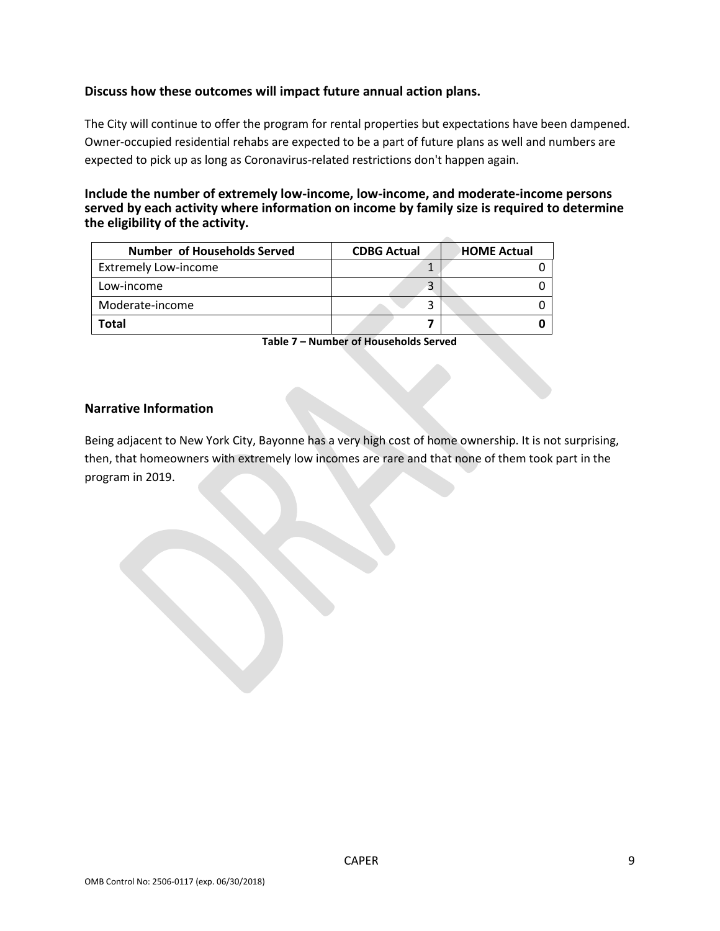#### **Discuss how these outcomes will impact future annual action plans.**

The City will continue to offer the program for rental properties but expectations have been dampened. Owner-occupied residential rehabs are expected to be a part of future plans as well and numbers are expected to pick up as long as Coronavirus-related restrictions don't happen again.

#### **Include the number of extremely low-income, low-income, and moderate-income persons served by each activity where information on income by family size is required to determine the eligibility of the activity.**

| <b>Number of Households Served</b> | <b>CDBG Actual</b> | <b>HOME Actual</b> |
|------------------------------------|--------------------|--------------------|
| <b>Extremely Low-income</b>        |                    |                    |
| Low-income                         |                    |                    |
| Moderate-income                    |                    |                    |
| Total                              |                    |                    |

**Table 7 – Number of Households Served**

#### **Narrative Information**

Being adjacent to New York City, Bayonne has a very high cost of home ownership. It is not surprising, then, that homeowners with extremely low incomes are rare and that none of them took part in the program in 2019.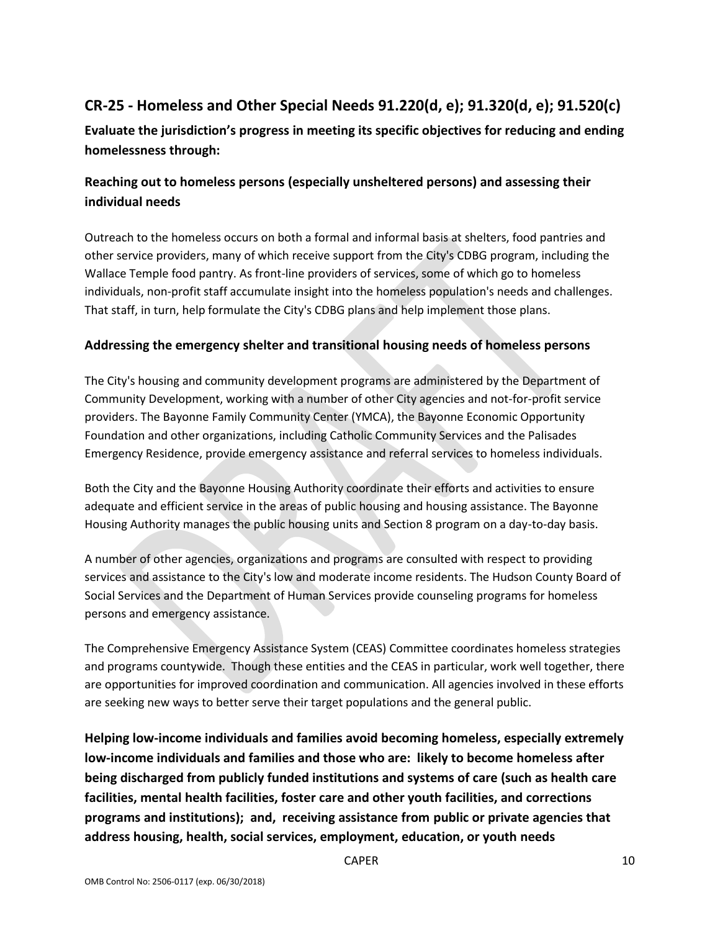# **CR-25 - Homeless and Other Special Needs 91.220(d, e); 91.320(d, e); 91.520(c)**

**Evaluate the jurisdiction's progress in meeting its specific objectives for reducing and ending homelessness through:**

# **Reaching out to homeless persons (especially unsheltered persons) and assessing their individual needs**

Outreach to the homeless occurs on both a formal and informal basis at shelters, food pantries and other service providers, many of which receive support from the City's CDBG program, including the Wallace Temple food pantry. As front-line providers of services, some of which go to homeless individuals, non-profit staff accumulate insight into the homeless population's needs and challenges. That staff, in turn, help formulate the City's CDBG plans and help implement those plans.

#### **Addressing the emergency shelter and transitional housing needs of homeless persons**

The City's housing and community development programs are administered by the Department of Community Development, working with a number of other City agencies and not-for-profit service providers. The Bayonne Family Community Center (YMCA), the Bayonne Economic Opportunity Foundation and other organizations, including Catholic Community Services and the Palisades Emergency Residence, provide emergency assistance and referral services to homeless individuals.

Both the City and the Bayonne Housing Authority coordinate their efforts and activities to ensure adequate and efficient service in the areas of public housing and housing assistance. The Bayonne Housing Authority manages the public housing units and Section 8 program on a day-to-day basis.

A number of other agencies, organizations and programs are consulted with respect to providing services and assistance to the City's low and moderate income residents. The Hudson County Board of Social Services and the Department of Human Services provide counseling programs for homeless persons and emergency assistance.

The Comprehensive Emergency Assistance System (CEAS) Committee coordinates homeless strategies and programs countywide. Though these entities and the CEAS in particular, work well together, there are opportunities for improved coordination and communication. All agencies involved in these efforts are seeking new ways to better serve their target populations and the general public.

**Helping low-income individuals and families avoid becoming homeless, especially extremely low-income individuals and families and those who are: likely to become homeless after being discharged from publicly funded institutions and systems of care (such as health care facilities, mental health facilities, foster care and other youth facilities, and corrections programs and institutions); and, receiving assistance from public or private agencies that address housing, health, social services, employment, education, or youth needs**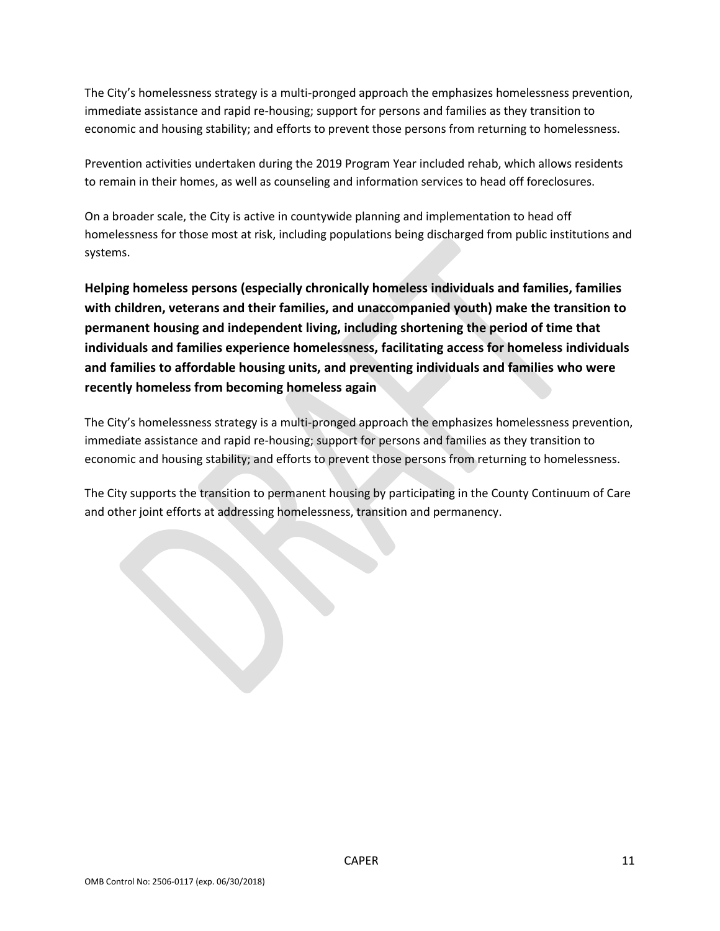The City's homelessness strategy is a multi-pronged approach the emphasizes homelessness prevention, immediate assistance and rapid re-housing; support for persons and families as they transition to economic and housing stability; and efforts to prevent those persons from returning to homelessness.

Prevention activities undertaken during the 2019 Program Year included rehab, which allows residents to remain in their homes, as well as counseling and information services to head off foreclosures.

On a broader scale, the City is active in countywide planning and implementation to head off homelessness for those most at risk, including populations being discharged from public institutions and systems.

**Helping homeless persons (especially chronically homeless individuals and families, families with children, veterans and their families, and unaccompanied youth) make the transition to permanent housing and independent living, including shortening the period of time that individuals and families experience homelessness, facilitating access for homeless individuals and families to affordable housing units, and preventing individuals and families who were recently homeless from becoming homeless again**

The City's homelessness strategy is a multi-pronged approach the emphasizes homelessness prevention, immediate assistance and rapid re-housing; support for persons and families as they transition to economic and housing stability; and efforts to prevent those persons from returning to homelessness.

The City supports the transition to permanent housing by participating in the County Continuum of Care and other joint efforts at addressing homelessness, transition and permanency.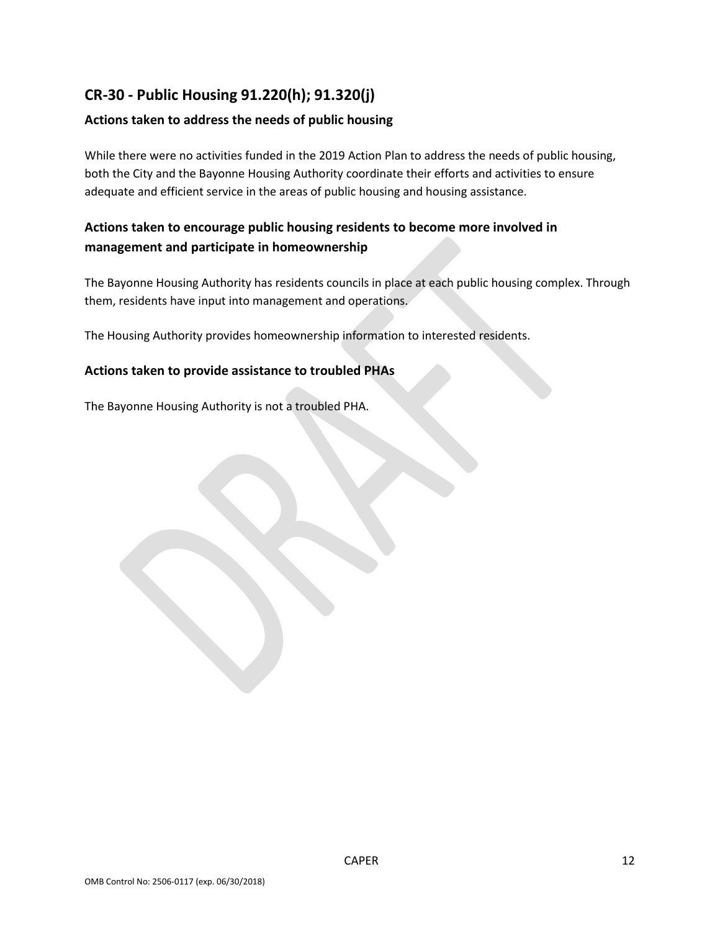# **CR-30 - Public Housing 91.220(h); 91.320(j)**

#### **Actions taken to address the needs of public housing**

While there were no activities funded in the 2019 Action Plan to address the needs of public housing, both the City and the Bayonne Housing Authority coordinate their efforts and activities to ensure adequate and efficient service in the areas of public housing and housing assistance.

## **Actions taken to encourage public housing residents to become more involved in management and participate in homeownership**

The Bayonne Housing Authority has residents councils in place at each public housing complex. Through them, residents have input into management and operations.

The Housing Authority provides homeownership information to interested residents.

#### **Actions taken to provide assistance to troubled PHAs**

The Bayonne Housing Authority is not a troubled PHA.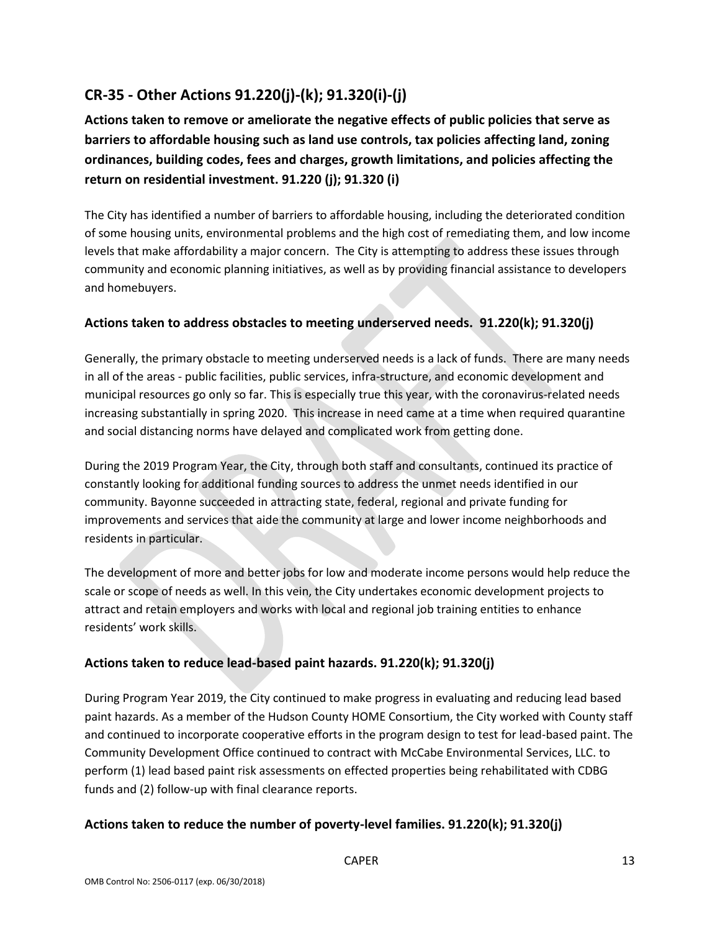# **CR-35 - Other Actions 91.220(j)-(k); 91.320(i)-(j)**

**Actions taken to remove or ameliorate the negative effects of public policies that serve as barriers to affordable housing such as land use controls, tax policies affecting land, zoning ordinances, building codes, fees and charges, growth limitations, and policies affecting the return on residential investment. 91.220 (j); 91.320 (i)**

The City has identified a number of barriers to affordable housing, including the deteriorated condition of some housing units, environmental problems and the high cost of remediating them, and low income levels that make affordability a major concern. The City is attempting to address these issues through community and economic planning initiatives, as well as by providing financial assistance to developers and homebuyers.

#### **Actions taken to address obstacles to meeting underserved needs. 91.220(k); 91.320(j)**

Generally, the primary obstacle to meeting underserved needs is a lack of funds. There are many needs in all of the areas - public facilities, public services, infra-structure, and economic development and municipal resources go only so far. This is especially true this year, with the coronavirus-related needs increasing substantially in spring 2020. This increase in need came at a time when required quarantine and social distancing norms have delayed and complicated work from getting done.

During the 2019 Program Year, the City, through both staff and consultants, continued its practice of constantly looking for additional funding sources to address the unmet needs identified in our community. Bayonne succeeded in attracting state, federal, regional and private funding for improvements and services that aide the community at large and lower income neighborhoods and residents in particular.

The development of more and better jobs for low and moderate income persons would help reduce the scale or scope of needs as well. In this vein, the City undertakes economic development projects to attract and retain employers and works with local and regional job training entities to enhance residents' work skills.

#### **Actions taken to reduce lead-based paint hazards. 91.220(k); 91.320(j)**

During Program Year 2019, the City continued to make progress in evaluating and reducing lead based paint hazards. As a member of the Hudson County HOME Consortium, the City worked with County staff and continued to incorporate cooperative efforts in the program design to test for lead-based paint. The Community Development Office continued to contract with McCabe Environmental Services, LLC. to perform (1) lead based paint risk assessments on effected properties being rehabilitated with CDBG funds and (2) follow-up with final clearance reports.

## **Actions taken to reduce the number of poverty-level families. 91.220(k); 91.320(j)**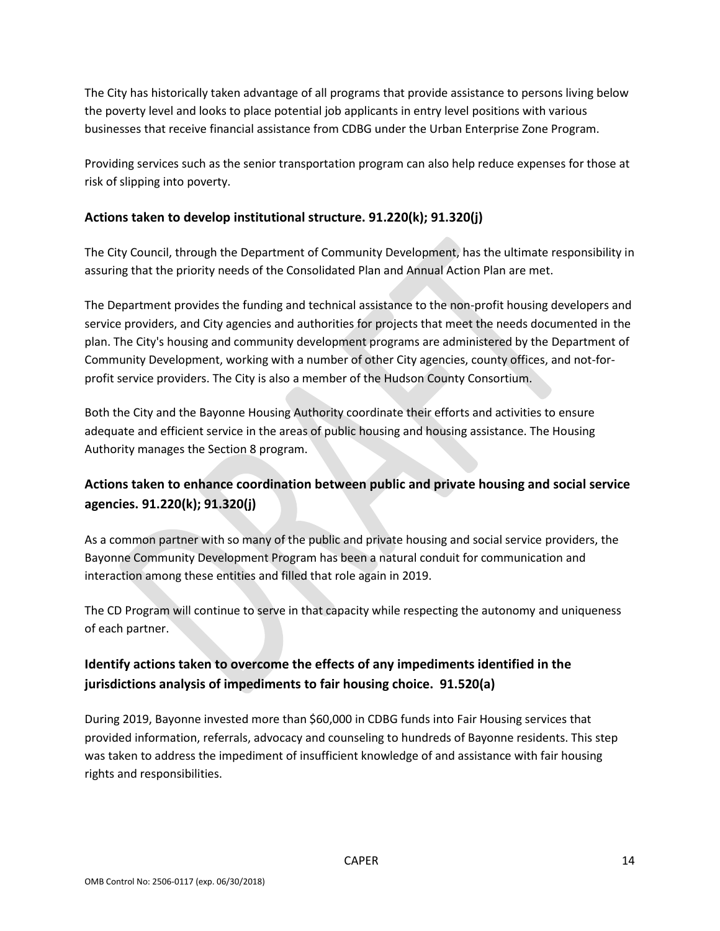The City has historically taken advantage of all programs that provide assistance to persons living below the poverty level and looks to place potential job applicants in entry level positions with various businesses that receive financial assistance from CDBG under the Urban Enterprise Zone Program.

Providing services such as the senior transportation program can also help reduce expenses for those at risk of slipping into poverty.

#### **Actions taken to develop institutional structure. 91.220(k); 91.320(j)**

The City Council, through the Department of Community Development, has the ultimate responsibility in assuring that the priority needs of the Consolidated Plan and Annual Action Plan are met.

The Department provides the funding and technical assistance to the non-profit housing developers and service providers, and City agencies and authorities for projects that meet the needs documented in the plan. The City's housing and community development programs are administered by the Department of Community Development, working with a number of other City agencies, county offices, and not-forprofit service providers. The City is also a member of the Hudson County Consortium.

Both the City and the Bayonne Housing Authority coordinate their efforts and activities to ensure adequate and efficient service in the areas of public housing and housing assistance. The Housing Authority manages the Section 8 program.

# **Actions taken to enhance coordination between public and private housing and social service agencies. 91.220(k); 91.320(j)**

As a common partner with so many of the public and private housing and social service providers, the Bayonne Community Development Program has been a natural conduit for communication and interaction among these entities and filled that role again in 2019.

The CD Program will continue to serve in that capacity while respecting the autonomy and uniqueness of each partner.

# **Identify actions taken to overcome the effects of any impediments identified in the jurisdictions analysis of impediments to fair housing choice. 91.520(a)**

During 2019, Bayonne invested more than \$60,000 in CDBG funds into Fair Housing services that provided information, referrals, advocacy and counseling to hundreds of Bayonne residents. This step was taken to address the impediment of insufficient knowledge of and assistance with fair housing rights and responsibilities.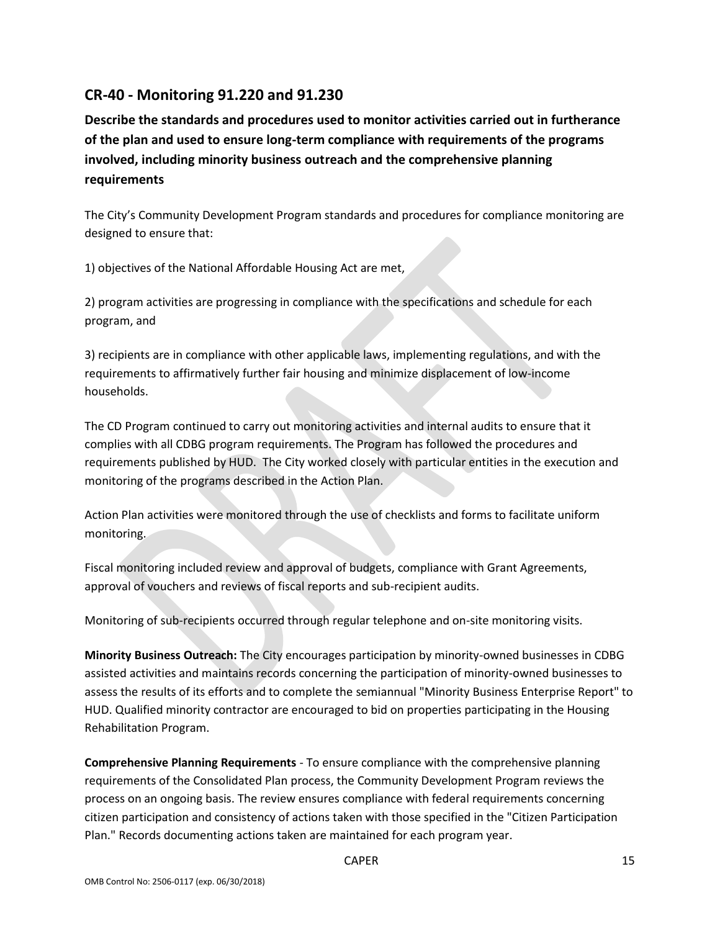# **CR-40 - Monitoring 91.220 and 91.230**

**Describe the standards and procedures used to monitor activities carried out in furtherance of the plan and used to ensure long-term compliance with requirements of the programs involved, including minority business outreach and the comprehensive planning requirements**

The City's Community Development Program standards and procedures for compliance monitoring are designed to ensure that:

1) objectives of the National Affordable Housing Act are met,

2) program activities are progressing in compliance with the specifications and schedule for each program, and

3) recipients are in compliance with other applicable laws, implementing regulations, and with the requirements to affirmatively further fair housing and minimize displacement of low-income households.

The CD Program continued to carry out monitoring activities and internal audits to ensure that it complies with all CDBG program requirements. The Program has followed the procedures and requirements published by HUD. The City worked closely with particular entities in the execution and monitoring of the programs described in the Action Plan.

Action Plan activities were monitored through the use of checklists and forms to facilitate uniform monitoring.

Fiscal monitoring included review and approval of budgets, compliance with Grant Agreements, approval of vouchers and reviews of fiscal reports and sub-recipient audits.

Monitoring of sub-recipients occurred through regular telephone and on-site monitoring visits.

**Minority Business Outreach:** The City encourages participation by minority-owned businesses in CDBG assisted activities and maintains records concerning the participation of minority-owned businesses to assess the results of its efforts and to complete the semiannual "Minority Business Enterprise Report" to HUD. Qualified minority contractor are encouraged to bid on properties participating in the Housing Rehabilitation Program.

**Comprehensive Planning Requirements** - To ensure compliance with the comprehensive planning requirements of the Consolidated Plan process, the Community Development Program reviews the process on an ongoing basis. The review ensures compliance with federal requirements concerning citizen participation and consistency of actions taken with those specified in the "Citizen Participation Plan." Records documenting actions taken are maintained for each program year.